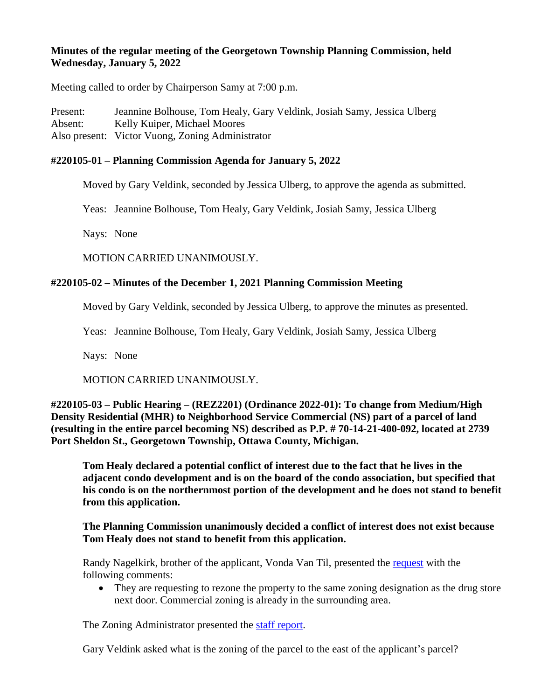# **Minutes of the regular meeting of the Georgetown Township Planning Commission, held Wednesday, January 5, 2022**

Meeting called to order by Chairperson Samy at 7:00 p.m.

Present: Jeannine Bolhouse, Tom Healy, Gary Veldink, Josiah Samy, Jessica Ulberg Absent: Kelly Kuiper, Michael Moores Also present: Victor Vuong, Zoning Administrator

# **#220105-01 – Planning Commission Agenda for January 5, 2022**

Moved by Gary Veldink, seconded by Jessica Ulberg, to approve the agenda as submitted.

Yeas: Jeannine Bolhouse, Tom Healy, Gary Veldink, Josiah Samy, Jessica Ulberg

Nays: None

MOTION CARRIED UNANIMOUSLY.

# **#220105-02 – Minutes of the December 1, 2021 Planning Commission Meeting**

Moved by Gary Veldink, seconded by Jessica Ulberg, to approve the minutes as presented.

Yeas: Jeannine Bolhouse, Tom Healy, Gary Veldink, Josiah Samy, Jessica Ulberg

Nays: None

MOTION CARRIED UNANIMOUSLY.

**#220105-03 – Public Hearing – (REZ2201) (Ordinance 2022-01): To change from Medium/High Density Residential (MHR) to Neighborhood Service Commercial (NS) part of a parcel of land (resulting in the entire parcel becoming NS) described as P.P. # 70-14-21-400-092, located at 2739 Port Sheldon St., Georgetown Township, Ottawa County, Michigan.**

**Tom Healy declared a potential conflict of interest due to the fact that he lives in the adjacent condo development and is on the board of the condo association, but specified that his condo is on the northernmost portion of the development and he does not stand to benefit from this application.**

# **The Planning Commission unanimously decided a conflict of interest does not exist because Tom Healy does not stand to benefit from this application.**

Randy Nagelkirk, brother of the applicant, Vonda Van Til, presented the [request](https://www.gtwp.com/AgendaCenter/ViewFile/Item/8969?fileID=78939) with the following comments:

• They are requesting to rezone the property to the same zoning designation as the drug store next door. Commercial zoning is already in the surrounding area.

The Zoning Administrator presented the [staff report.](https://www.gtwp.com/AgendaCenter/ViewFile/Item/8969?fileID=78940)

Gary Veldink asked what is the zoning of the parcel to the east of the applicant's parcel?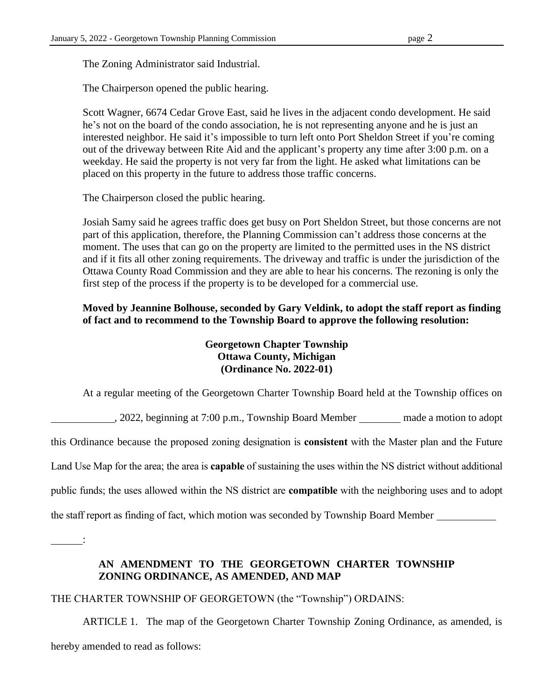The Zoning Administrator said Industrial.

The Chairperson opened the public hearing.

Scott Wagner, 6674 Cedar Grove East, said he lives in the adjacent condo development. He said he's not on the board of the condo association, he is not representing anyone and he is just an interested neighbor. He said it's impossible to turn left onto Port Sheldon Street if you're coming out of the driveway between Rite Aid and the applicant's property any time after 3:00 p.m. on a weekday. He said the property is not very far from the light. He asked what limitations can be placed on this property in the future to address those traffic concerns.

The Chairperson closed the public hearing.

Josiah Samy said he agrees traffic does get busy on Port Sheldon Street, but those concerns are not part of this application, therefore, the Planning Commission can't address those concerns at the moment. The uses that can go on the property are limited to the permitted uses in the NS district and if it fits all other zoning requirements. The driveway and traffic is under the jurisdiction of the Ottawa County Road Commission and they are able to hear his concerns. The rezoning is only the first step of the process if the property is to be developed for a commercial use.

**Moved by Jeannine Bolhouse, seconded by Gary Veldink, to adopt the staff report as finding of fact and to recommend to the Township Board to approve the following resolution:**

# **Georgetown Chapter Township Ottawa County, Michigan (Ordinance No. 2022-01)**

At a regular meeting of the Georgetown Charter Township Board held at the Township offices on

, 2022, beginning at 7:00 p.m., Township Board Member made a motion to adopt

this Ordinance because the proposed zoning designation is **consistent** with the Master plan and the Future

Land Use Map for the area; the area is **capable** of sustaining the uses within the NS district without additional

public funds; the uses allowed within the NS district are **compatible** with the neighboring uses and to adopt

the staff report as finding of fact, which motion was seconded by Township Board Member

:

# **AN AMENDMENT TO THE GEORGETOWN CHARTER TOWNSHIP ZONING ORDINANCE, AS AMENDED, AND MAP**

THE CHARTER TOWNSHIP OF GEORGETOWN (the "Township") ORDAINS:

ARTICLE 1. The map of the Georgetown Charter Township Zoning Ordinance, as amended, is hereby amended to read as follows: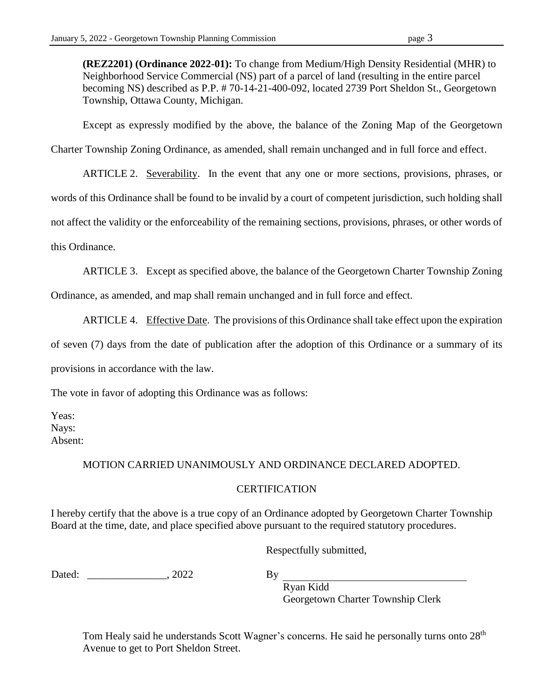**(REZ2201) (Ordinance 2022-01):** To change from Medium/High Density Residential (MHR) to Neighborhood Service Commercial (NS) part of a parcel of land (resulting in the entire parcel becoming NS) described as P.P. # 70-14-21-400-092, located 2739 Port Sheldon St., Georgetown Township, Ottawa County, Michigan.

Except as expressly modified by the above, the balance of the Zoning Map of the Georgetown

Charter Township Zoning Ordinance, as amended, shall remain unchanged and in full force and effect.

ARTICLE 2. Severability. In the event that any one or more sections, provisions, phrases, or

words of this Ordinance shall be found to be invalid by a court of competent jurisdiction, such holding shall

not affect the validity or the enforceability of the remaining sections, provisions, phrases, or other words of

this Ordinance.

ARTICLE 3. Except as specified above, the balance of the Georgetown Charter Township Zoning

Ordinance, as amended, and map shall remain unchanged and in full force and effect.

ARTICLE 4. Effective Date. The provisions of this Ordinance shall take effect upon the expiration

of seven (7) days from the date of publication after the adoption of this Ordinance or a summary of its provisions in accordance with the law.

The vote in favor of adopting this Ordinance was as follows:

Yeas: Nays: Absent:

# MOTION CARRIED UNANIMOUSLY AND ORDINANCE DECLARED ADOPTED.

#### **CERTIFICATION**

I hereby certify that the above is a true copy of an Ordinance adopted by Georgetown Charter Township Board at the time, date, and place specified above pursuant to the required statutory procedures.

Respectfully submitted,

Dated: 2022

By

Ryan Kidd Georgetown Charter Township Clerk

Tom Healy said he understands Scott Wagner's concerns. He said he personally turns onto 28<sup>th</sup> Avenue to get to Port Sheldon Street.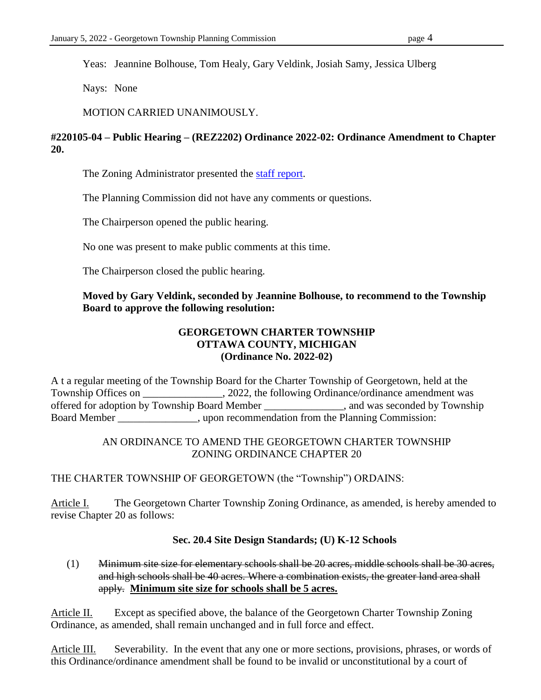Yeas: Jeannine Bolhouse, Tom Healy, Gary Veldink, Josiah Samy, Jessica Ulberg

Nays: None

MOTION CARRIED UNANIMOUSLY.

# **#220105-04 – Public Hearing – (REZ2202) Ordinance 2022-02: Ordinance Amendment to Chapter 20.**

The Zoning Administrator presented the [staff report.](https://www.gtwp.com/AgendaCenter/ViewFile/Item/8970?fileID=78941)

The Planning Commission did not have any comments or questions.

The Chairperson opened the public hearing.

No one was present to make public comments at this time.

The Chairperson closed the public hearing.

# **Moved by Gary Veldink, seconded by Jeannine Bolhouse, to recommend to the Township Board to approve the following resolution:**

#### **GEORGETOWN CHARTER TOWNSHIP OTTAWA COUNTY, MICHIGAN (Ordinance No. 2022-02)**

A t a regular meeting of the Township Board for the Charter Township of Georgetown, held at the Township Offices on \_\_\_\_\_\_\_\_\_\_\_\_\_\_, 2022, the following Ordinance/ordinance amendment was offered for adoption by Township Board Member \_\_\_\_\_\_\_\_\_\_\_\_\_\_\_, and was seconded by Township Board Member \_\_\_\_\_\_\_\_\_\_\_\_, upon recommendation from the Planning Commission:

#### AN ORDINANCE TO AMEND THE GEORGETOWN CHARTER TOWNSHIP ZONING ORDINANCE CHAPTER 20

#### THE CHARTER TOWNSHIP OF GEORGETOWN (the "Township") ORDAINS:

Article I. The Georgetown Charter Township Zoning Ordinance, as amended, is hereby amended to revise Chapter 20 as follows:

#### **Sec. 20.4 Site Design Standards; (U) K-12 Schools**

# (1) Minimum site size for elementary schools shall be 20 acres, middle schools shall be 30 acres, and high schools shall be 40 acres. Where a combination exists, the greater land area shall apply. **Minimum site size for schools shall be 5 acres.**

Article II. Except as specified above, the balance of the Georgetown Charter Township Zoning Ordinance, as amended, shall remain unchanged and in full force and effect.

Article III. Severability. In the event that any one or more sections, provisions, phrases, or words of this Ordinance/ordinance amendment shall be found to be invalid or unconstitutional by a court of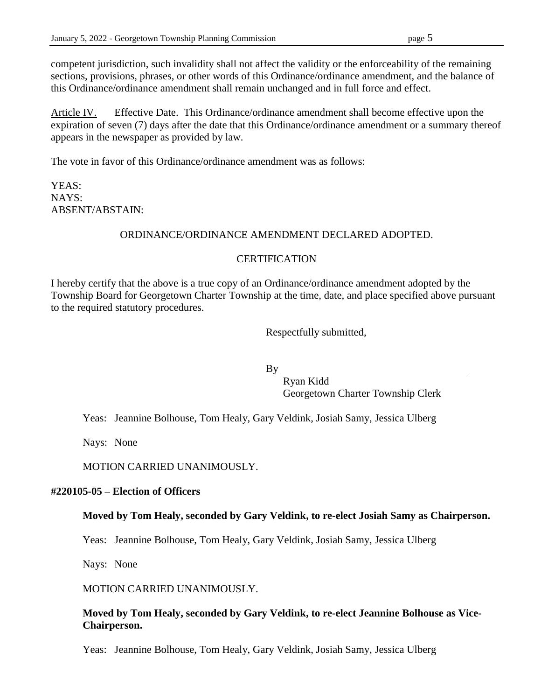competent jurisdiction, such invalidity shall not affect the validity or the enforceability of the remaining sections, provisions, phrases, or other words of this Ordinance/ordinance amendment, and the balance of this Ordinance/ordinance amendment shall remain unchanged and in full force and effect.

Article IV. Effective Date. This Ordinance/ordinance amendment shall become effective upon the expiration of seven (7) days after the date that this Ordinance/ordinance amendment or a summary thereof appears in the newspaper as provided by law.

The vote in favor of this Ordinance/ordinance amendment was as follows:

YEAS: NAYS: ABSENT/ABSTAIN:

#### ORDINANCE/ORDINANCE AMENDMENT DECLARED ADOPTED.

#### **CERTIFICATION**

I hereby certify that the above is a true copy of an Ordinance/ordinance amendment adopted by the Township Board for Georgetown Charter Township at the time, date, and place specified above pursuant to the required statutory procedures.

Respectfully submitted,

By

Ryan Kidd Georgetown Charter Township Clerk

Yeas: Jeannine Bolhouse, Tom Healy, Gary Veldink, Josiah Samy, Jessica Ulberg

Nays: None

MOTION CARRIED UNANIMOUSLY.

#### **#220105-05 – Election of Officers**

#### **Moved by Tom Healy, seconded by Gary Veldink, to re-elect Josiah Samy as Chairperson.**

Yeas: Jeannine Bolhouse, Tom Healy, Gary Veldink, Josiah Samy, Jessica Ulberg

Nays: None

MOTION CARRIED UNANIMOUSLY.

**Moved by Tom Healy, seconded by Gary Veldink, to re-elect Jeannine Bolhouse as Vice-Chairperson.**

Yeas: Jeannine Bolhouse, Tom Healy, Gary Veldink, Josiah Samy, Jessica Ulberg